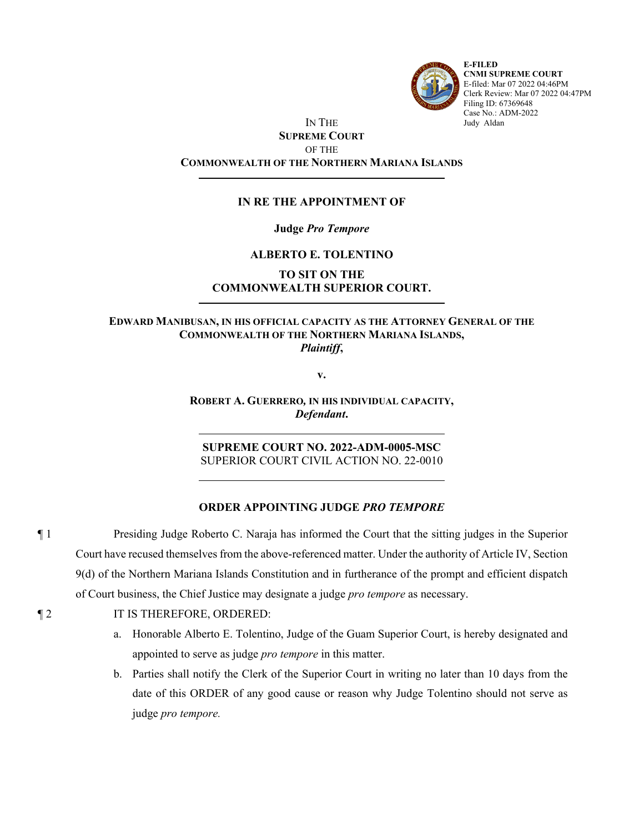

**E-FILED CNMI SUPREME COURT** E-filed: Mar 07 2022 04:46PM Clerk Review: Mar 07 2022 04:47PM Filing ID: 67369648 Case No.: ADM-2022 Judy Aldan

## IN THE **SUPREME COURT** OF THE **COMMONWEALTH OF THE NORTHERN MARIANA ISLANDS**

## **IN RE THE APPOINTMENT OF**

### **Judge** *Pro Tempore*

### **ALBERTO E. TOLENTINO**

# **TO SIT ON THE COMMONWEALTH SUPERIOR COURT.**

### **EDWARD MANIBUSAN, IN HIS OFFICIAL CAPACITY AS THE ATTORNEY GENERAL OF THE COMMONWEALTH OF THE NORTHERN MARIANA ISLANDS,** *Plaintiff***,**

**v.**

**ROBERT A. GUERRERO***,* **IN HIS INDIVIDUAL CAPACITY,** *Defendant***.**

**SUPREME COURT NO. 2022-ADM-0005-MSC** SUPERIOR COURT CIVIL ACTION NO. 22-0010

#### **ORDER APPOINTING JUDGE** *PRO TEMPORE*

¶ 1 Presiding Judge Roberto C. Naraja has informed the Court that the sitting judges in the Superior Court have recused themselves from the above-referenced matter. Under the authority of Article IV, Section 9(d) of the Northern Mariana Islands Constitution and in furtherance of the prompt and efficient dispatch of Court business, the Chief Justice may designate a judge *pro tempore* as necessary.

### ¶ 2 IT IS THEREFORE, ORDERED:

- a. Honorable Alberto E. Tolentino, Judge of the Guam Superior Court, is hereby designated and appointed to serve as judge *pro tempore* in this matter.
- b. Parties shall notify the Clerk of the Superior Court in writing no later than 10 days from the date of this ORDER of any good cause or reason why Judge Tolentino should not serve as judge *pro tempore.*